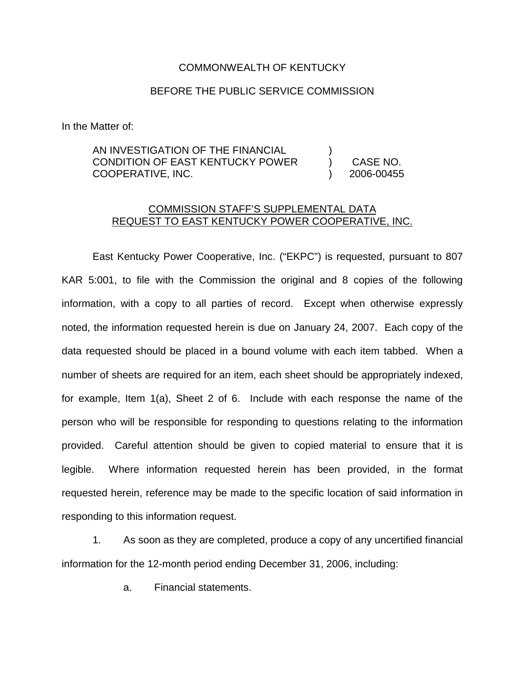## COMMONWEALTH OF KENTUCKY

## BEFORE THE PUBLIC SERVICE COMMISSION

In the Matter of:

## AN INVESTIGATION OF THE FINANCIAL CONDITION OF EAST KENTUCKY POWER COOPERATIVE, INC. ) ) CASE NO. ) 2006-00455

## COMMISSION STAFF'S SUPPLEMENTAL DATA REQUEST TO EAST KENTUCKY POWER COOPERATIVE, INC.

East Kentucky Power Cooperative, Inc. ("EKPC") is requested, pursuant to 807 KAR 5:001, to file with the Commission the original and 8 copies of the following information, with a copy to all parties of record. Except when otherwise expressly noted, the information requested herein is due on January 24, 2007. Each copy of the data requested should be placed in a bound volume with each item tabbed. When a number of sheets are required for an item, each sheet should be appropriately indexed, for example, Item 1(a), Sheet 2 of 6. Include with each response the name of the person who will be responsible for responding to questions relating to the information provided. Careful attention should be given to copied material to ensure that it is legible. Where information requested herein has been provided, in the format requested herein, reference may be made to the specific location of said information in responding to this information request.

1. As soon as they are completed, produce a copy of any uncertified financial information for the 12-month period ending December 31, 2006, including:

a. Financial statements.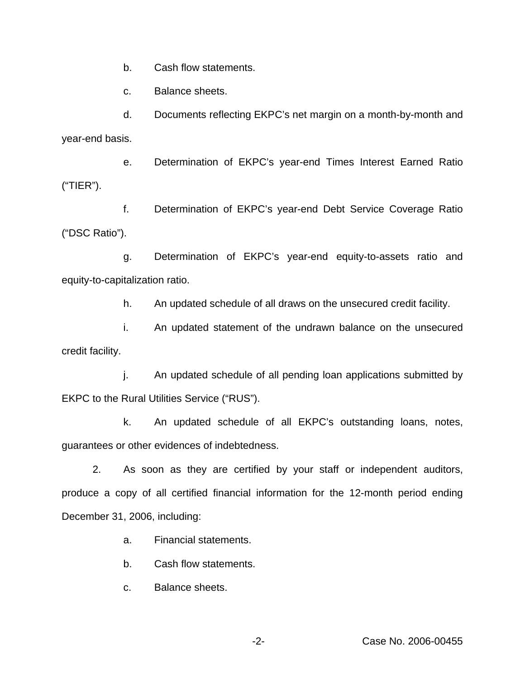b. Cash flow statements.

c. Balance sheets.

d. Documents reflecting EKPC's net margin on a month-by-month and year-end basis.

e. Determination of EKPC's year-end Times Interest Earned Ratio ("TIER").

f. Determination of EKPC's year-end Debt Service Coverage Ratio ("DSC Ratio").

g. Determination of EKPC's year-end equity-to-assets ratio and equity-to-capitalization ratio.

h. An updated schedule of all draws on the unsecured credit facility.

i. An updated statement of the undrawn balance on the unsecured credit facility.

j. An updated schedule of all pending loan applications submitted by EKPC to the Rural Utilities Service ("RUS").

k. An updated schedule of all EKPC's outstanding loans, notes, guarantees or other evidences of indebtedness.

2. As soon as they are certified by your staff or independent auditors, produce a copy of all certified financial information for the 12-month period ending December 31, 2006, including:

a. Financial statements.

b. Cash flow statements.

c. Balance sheets.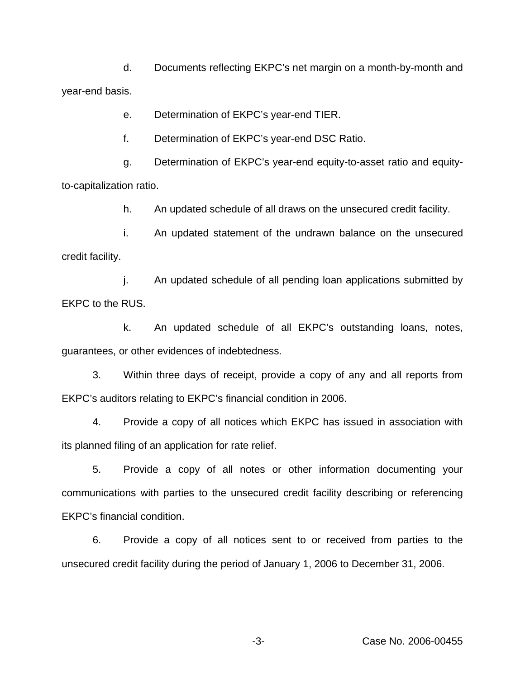d. Documents reflecting EKPC's net margin on a month-by-month and year-end basis.

e. Determination of EKPC's year-end TIER.

f. Determination of EKPC's year-end DSC Ratio.

g. Determination of EKPC's year-end equity-to-asset ratio and equityto-capitalization ratio.

h. An updated schedule of all draws on the unsecured credit facility.

i. An updated statement of the undrawn balance on the unsecured credit facility.

j. An updated schedule of all pending loan applications submitted by EKPC to the RUS.

k. An updated schedule of all EKPC's outstanding loans, notes, guarantees, or other evidences of indebtedness.

3. Within three days of receipt, provide a copy of any and all reports from EKPC's auditors relating to EKPC's financial condition in 2006.

4. Provide a copy of all notices which EKPC has issued in association with its planned filing of an application for rate relief.

5. Provide a copy of all notes or other information documenting your communications with parties to the unsecured credit facility describing or referencing EKPC's financial condition.

6. Provide a copy of all notices sent to or received from parties to the unsecured credit facility during the period of January 1, 2006 to December 31, 2006.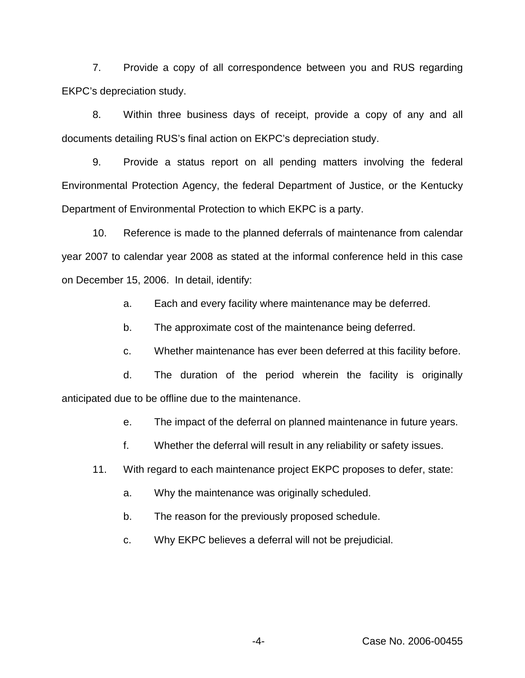7. Provide a copy of all correspondence between you and RUS regarding EKPC's depreciation study.

8. Within three business days of receipt, provide a copy of any and all documents detailing RUS's final action on EKPC's depreciation study.

9. Provide a status report on all pending matters involving the federal Environmental Protection Agency, the federal Department of Justice, or the Kentucky Department of Environmental Protection to which EKPC is a party.

10. Reference is made to the planned deferrals of maintenance from calendar year 2007 to calendar year 2008 as stated at the informal conference held in this case on December 15, 2006. In detail, identify:

a. Each and every facility where maintenance may be deferred.

b. The approximate cost of the maintenance being deferred.

c. Whether maintenance has ever been deferred at this facility before.

d. The duration of the period wherein the facility is originally anticipated due to be offline due to the maintenance.

e. The impact of the deferral on planned maintenance in future years.

f. Whether the deferral will result in any reliability or safety issues.

11. With regard to each maintenance project EKPC proposes to defer, state:

a. Why the maintenance was originally scheduled.

b. The reason for the previously proposed schedule.

c. Why EKPC believes a deferral will not be prejudicial.